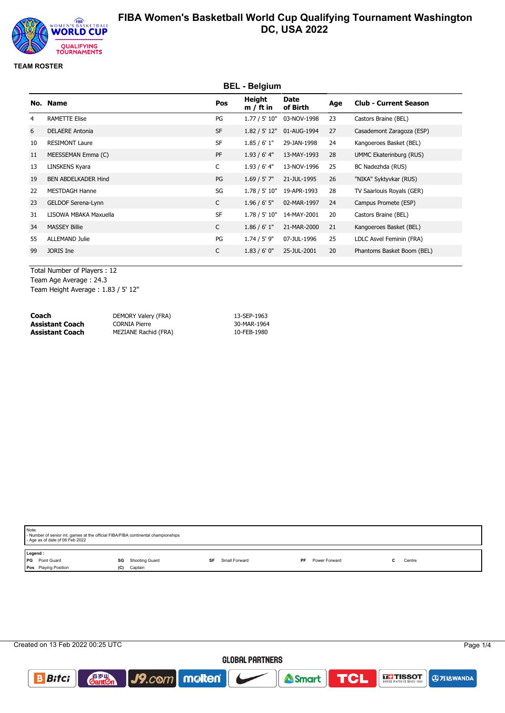

### **TEAM ROSTER**

|    |                            |              |                       |                  | <b>BEL - Belgium</b> |                              |  |  |  |  |  |  |  |
|----|----------------------------|--------------|-----------------------|------------------|----------------------|------------------------------|--|--|--|--|--|--|--|
|    | No. Name                   | Pos          | Height<br>$m / ft$ in | Date<br>of Birth | Age                  | <b>Club - Current Season</b> |  |  |  |  |  |  |  |
| 4  | <b>RAMETTE Elise</b>       | PG           | 1.77 / 5' 10"         | 03-NOV-1998      | 23                   | Castors Braine (BEL)         |  |  |  |  |  |  |  |
| 6  | <b>DELAERE Antonia</b>     | <b>SF</b>    | 1.82 / 5' 12"         | 01-AUG-1994      | 27                   | Casademont Zaragoza (ESP)    |  |  |  |  |  |  |  |
| 10 | <b>RESIMONT Laure</b>      | <b>SF</b>    | 1.85/6'1"             | 29-JAN-1998      | 24                   | Kangoeroes Basket (BEL)      |  |  |  |  |  |  |  |
| 11 | MEESSEMAN Emma (C)         | PF           | $1.93/6'$ 4"          | 13-MAY-1993      | 28                   | UMMC Ekaterinburg (RUS)      |  |  |  |  |  |  |  |
| 13 | LINSKENS Kyara             | $\mathsf{C}$ | 1.93/6'4"             | 13-NOV-1996      | 25                   | BC Nadezhda (RUS)            |  |  |  |  |  |  |  |
| 19 | <b>BEN ABDELKADER Hind</b> | PG           | $1.69 / 5'$ 7"        | 21-JUL-1995      | 26                   | "NIKA" Syktyvkar (RUS)       |  |  |  |  |  |  |  |
| 22 | <b>MESTDAGH Hanne</b>      | SG           | 1.78 / 5' 10"         | 19-APR-1993      | 28                   | TV Saarlouis Royals (GER)    |  |  |  |  |  |  |  |
| 23 | GELDOF Serena-Lynn         | C            | $1.96 / 6'$ 5"        | 02-MAR-1997      | 24                   | Campus Promete (ESP)         |  |  |  |  |  |  |  |
| 31 | LISOWA MBAKA Maxuella      | <b>SF</b>    | 1.78 / 5' 10"         | 14-MAY-2001      | 20                   | Castors Braine (BEL)         |  |  |  |  |  |  |  |
| 34 | <b>MASSEY Billie</b>       | $\mathsf{C}$ | 1.86 / 6' 1''         | 21-MAR-2000      | 21                   | Kangoeroes Basket (BEL)      |  |  |  |  |  |  |  |
| 55 | <b>ALLEMAND Julie</b>      | PG           | $1.74 / 5'$ 9"        | 07-JUL-1996      | 25                   | LDLC Asvel Feminin (FRA)     |  |  |  |  |  |  |  |
| 99 | JORIS Ine                  | $\mathsf{C}$ | 1.83 / 6' 0''         | 25-JUL-2001      | 20                   | Phantoms Basket Boom (BEL)   |  |  |  |  |  |  |  |
|    |                            |              |                       |                  |                      |                              |  |  |  |  |  |  |  |

Total Number of Players : 12 Team Age Average : 24.3 Team Height Average : 1.83 / 5' 12"

| Coach                  | DEMORY Valery (FRA)  | 13-SEP-1963 |
|------------------------|----------------------|-------------|
| <b>Assistant Coach</b> | CORNIA Pierre        | 30-MAR-1964 |
| <b>Assistant Coach</b> | MEZIANE Rachid (FRA) | 10-FEB-1980 |

| Note:<br>- Age as of date of 08 Feb 2022               | - Number of senior int. games at the official FIBA/FIBA continental championships |                     |                     |        |  |  |  |  |  |  |  |
|--------------------------------------------------------|-----------------------------------------------------------------------------------|---------------------|---------------------|--------|--|--|--|--|--|--|--|
| Legend:<br>Point Guard<br>I PG<br>Pos Playing Position | <b>SG</b> Shooting Guard<br>Captain<br>(C)                                        | Small Forward<br>SF | Power Forward<br>PF | Centre |  |  |  |  |  |  |  |

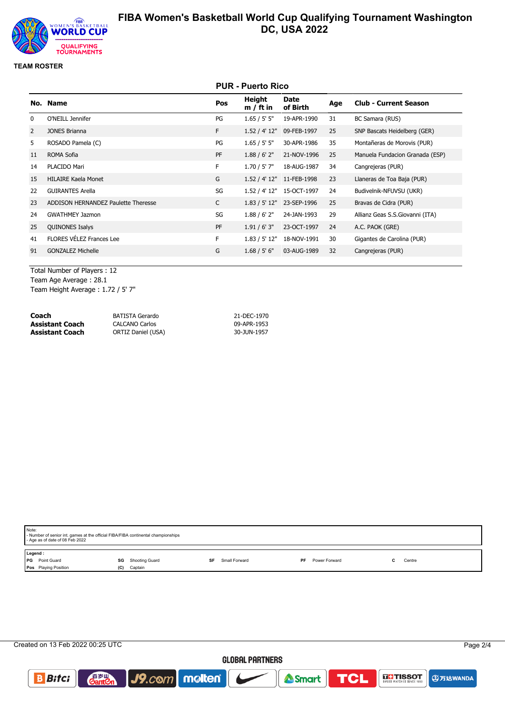

## **TEAM ROSTER**

|              |                                     |           | <b>PUR - Puerto Rico</b> |                  |     |                                 |
|--------------|-------------------------------------|-----------|--------------------------|------------------|-----|---------------------------------|
|              | No. Name                            | Pos       | Height<br>$m / ft$ in    | Date<br>of Birth | Age | <b>Club - Current Season</b>    |
| $\mathbf{0}$ | O'NEILL Jennifer                    | PG        | 1.65 / 5' 5''            | 19-APR-1990      | 31  | BC Samara (RUS)                 |
| 2            | <b>JONES Brianna</b>                | F.        | 1.52 / 4' 12"            | 09-FEB-1997      | 25  | SNP Bascats Heidelberg (GER)    |
| 5            | ROSADO Pamela (C)                   | PG        | 1.65 / 5' 5''            | 30-APR-1986      | 35  | Montañeras de Morovis (PUR)     |
| 11           | ROMA Sofia                          | <b>PF</b> | 1.88 / 6' 2''            | 21-NOV-1996      | 25  | Manuela Fundacion Granada (ESP) |
| 14           | PLACIDO Mari                        | F         | $1.70 / 5'$ 7"           | 18-AUG-1987      | 34  | Cangrejeras (PUR)               |
| 15           | <b>HILAIRE Kaela Monet</b>          | G         | 1.52 / 4' 12"            | 11-FEB-1998      | 23  | Llaneras de Toa Baja (PUR)      |
| 22           | <b>GUIRANTES Arella</b>             | SG        | 1.52 / 4' 12"            | 15-OCT-1997      | 24  | Budivelnik-NFUVSU (UKR)         |
| 23           | ADDISON HERNANDEZ Paulette Theresse | C         | 1.83 / 5' 12"            | 23-SEP-1996      | 25  | Bravas de Cidra (PUR)           |
| 24           | <b>GWATHMEY Jazmon</b>              | SG        | 1.88 / 6' 2''            | 24-JAN-1993      | 29  | Allianz Geas S.S.Giovanni (ITA) |
| 25           | <b>QUINONES Isalys</b>              | PF        | 1.91 / 6' 3''            | 23-OCT-1997      | 24  | A.C. PAOK (GRE)                 |
| 41           | <b>FLORES VÉLEZ Frances Lee</b>     | F         | 1.83 / 5' 12"            | 18-NOV-1991      | 30  | Gigantes de Carolina (PUR)      |
| 91           | <b>GONZALEZ Michelle</b>            | G         | 1.68 / 5' 6''            | 03-AUG-1989      | 32  | Cangrejeras (PUR)               |
|              |                                     |           |                          |                  |     |                                 |

Total Number of Players : 12 Team Age Average : 28.1 Team Height Average : 1.72 / 5' 7"

| Coach           | <b>BATISTA Gerardo</b>    | 21-DEC-1970 |
|-----------------|---------------------------|-------------|
| Assistant Coach | <b>CALCANO Carlos</b>     | 09-APR-1953 |
| Assistant Coach | <b>ORTIZ Daniel (USA)</b> | 30-JUN-1957 |

| Note:<br>- Age as of date of 08 Feb 2022 |     |         |                                                                                                               |               |               |        |
|------------------------------------------|-----|---------|---------------------------------------------------------------------------------------------------------------|---------------|---------------|--------|
| Legend:                                  |     |         |                                                                                                               |               |               |        |
| l PG<br>Point Guard                      |     |         | SF                                                                                                            | Small Forward | Power Forward | Centre |
| Pos Playing Position                     | (C) | Captain |                                                                                                               |               |               |        |
|                                          |     |         | - Number of senior int. games at the official FIBA/FIBA continental championships<br><b>SG</b> Shooting Guard |               | PF            |        |

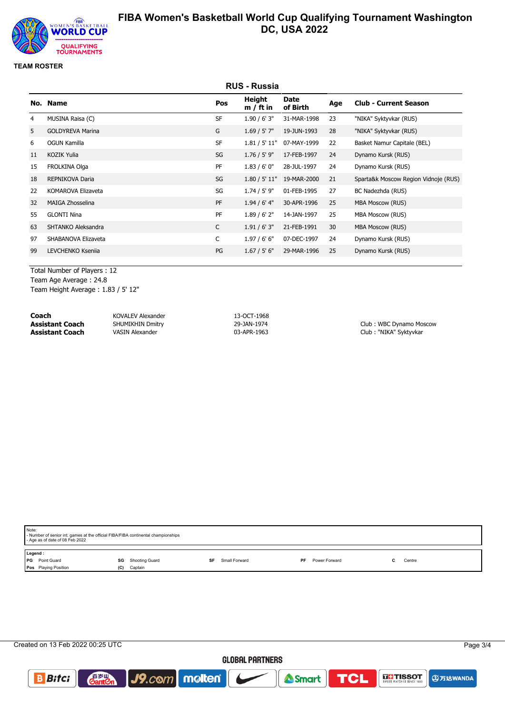

## **TEAM ROSTER**

|    | <b>RUS - Russia</b>     |              |                       |                         |     |                                      |  |  |
|----|-------------------------|--------------|-----------------------|-------------------------|-----|--------------------------------------|--|--|
|    | No. Name                | Pos          | Height<br>$m / ft$ in | <b>Date</b><br>of Birth | Age | <b>Club - Current Season</b>         |  |  |
| 4  | MUSINA Raisa (C)        | <b>SF</b>    | 1.90 / 6' 3''         | 31-MAR-1998             | 23  | "NIKA" Syktyvkar (RUS)               |  |  |
| 5  | <b>GOLDYREVA Marina</b> | G            | $1.69 / 5'$ 7"        | 19-JUN-1993             | 28  | "NIKA" Syktyvkar (RUS)               |  |  |
| 6  | OGUN Kamilla            | <b>SF</b>    | 1.81 / 5' 11"         | 07-MAY-1999             | 22  | Basket Namur Capitale (BEL)          |  |  |
| 11 | <b>KOZIK Yulia</b>      | SG           | $1.76 / 5'$ 9"        | 17-FEB-1997             | 24  | Dynamo Kursk (RUS)                   |  |  |
| 15 | FROLKINA Olga           | PF           | 1.83 / 6' 0''         | 28-JUL-1997             | 24  | Dynamo Kursk (RUS)                   |  |  |
| 18 | <b>REPNIKOVA Daria</b>  | SG           | 1.80 / 5' 11"         | 19-MAR-2000             | 21  | Sparta&k Moscow Region Vidnoje (RUS) |  |  |
| 22 | KOMAROVA Elizaveta      | SG           | $1.74 / 5'$ 9"        | 01-FEB-1995             | 27  | BC Nadezhda (RUS)                    |  |  |
| 32 | MAIGA Zhosselina        | <b>PF</b>    | $1.94/6'$ 4"          | 30-APR-1996             | 25  | <b>MBA Moscow (RUS)</b>              |  |  |
| 55 | <b>GLONTI Nina</b>      | PF           | 1.89/6'2"             | 14-JAN-1997             | 25  | <b>MBA Moscow (RUS)</b>              |  |  |
| 63 | SHTANKO Aleksandra      | C            | 1.91 / 6' 3''         | 21-FEB-1991             | 30  | <b>MBA Moscow (RUS)</b>              |  |  |
| 97 | SHABANOVA Elizaveta     | $\mathsf{C}$ | 1.97/6'6''            | 07-DEC-1997             | 24  | Dynamo Kursk (RUS)                   |  |  |
| 99 | LEVCHENKO Ksenija       | PG           | 1.67 / 5' 6''         | 29-MAR-1996             | 25  | Dynamo Kursk (RUS)                   |  |  |
|    |                         |              |                       |                         |     |                                      |  |  |

Total Number of Players : 12 Team Age Average : 24.8 Team Height Average : 1.83 / 5' 12"

| Coach                  | KOVALEV Alexander       | 13-OCT-1968 |                         |
|------------------------|-------------------------|-------------|-------------------------|
| <b>Assistant Coach</b> | <b>SHUMIKHIN Dmitry</b> | 29-JAN-1974 | Club: WBC Dynamo Moscow |
| <b>Assistant Coach</b> | <b>VASIN Alexander</b>  | 03-APR-1963 | Club: "NIKA" Syktyvkar  |

| Note: | - Number of senior int. games at the official FIBA/FIBA continental championships<br>- Age as of date of 08 Feb 2022 |    |                |    |               |    |               |  |        |  |  |
|-------|----------------------------------------------------------------------------------------------------------------------|----|----------------|----|---------------|----|---------------|--|--------|--|--|
|       | Legend:                                                                                                              |    |                |    |               |    |               |  |        |  |  |
|       | <b>PG</b> Point Guard                                                                                                | SG | Shooting Guard | SF | Small Forward | PF | Power Forward |  | Centre |  |  |
|       | Pos Playing Position                                                                                                 |    | (C) Captain    |    |               |    |               |  |        |  |  |